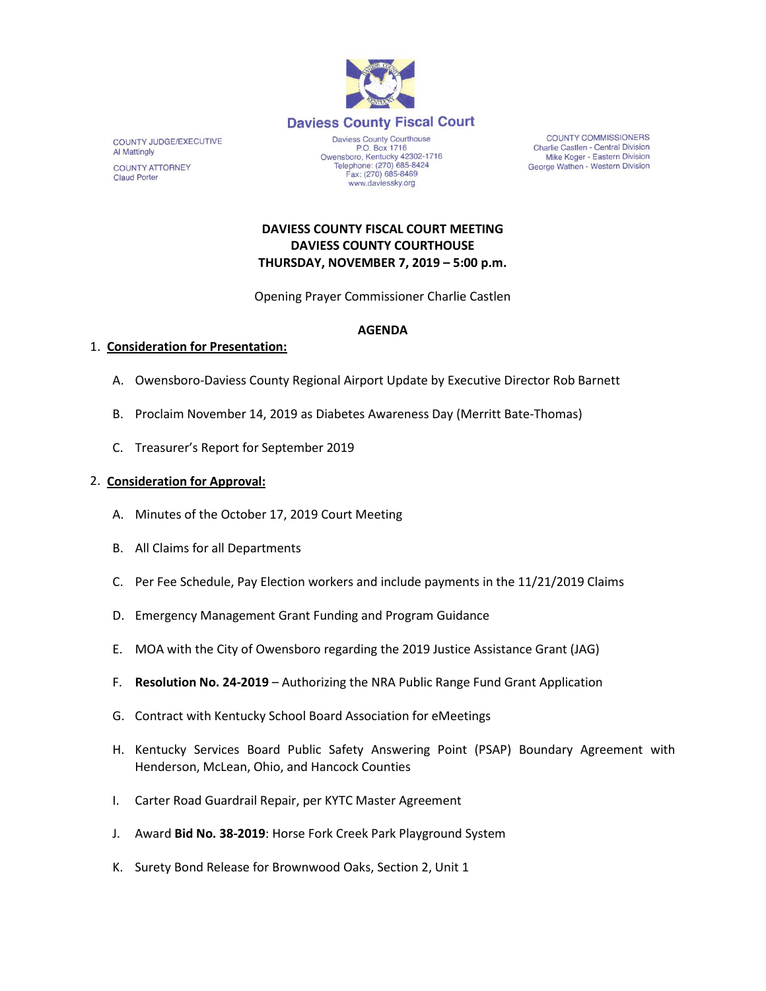

COUNTY JUDGE/EXECUTIVE **Al Mattingly COUNTY ATTORNEY Claud Porter** 

P.O. Box 1716 P.O. Box 1716<br>Owensboro, Kentucky 42302-1716<br>Telephone: (270) 685-8424 Fax: (270) 685-8469 www.daviessky.org

**COUNTY COMMISSIONERS** Charlie Castlen - Central Division Mike Koger - Eastern Division George Wathen - Western Division

# **DAVIESS COUNTY FISCAL COURT MEETING DAVIESS COUNTY COURTHOUSE THURSDAY, NOVEMBER 7, 2019 – 5:00 p.m.**

Opening Prayer Commissioner Charlie Castlen

## **AGENDA**

### 1. **Consideration for Presentation:**

- A. Owensboro-Daviess County Regional Airport Update by Executive Director Rob Barnett
- B. Proclaim November 14, 2019 as Diabetes Awareness Day (Merritt Bate-Thomas)
- C. Treasurer's Report for September 2019

### 2. **Consideration for Approval:**

- A. Minutes of the October 17, 2019 Court Meeting
- B. All Claims for all Departments
- C. Per Fee Schedule, Pay Election workers and include payments in the 11/21/2019 Claims
- D. Emergency Management Grant Funding and Program Guidance
- E. MOA with the City of Owensboro regarding the 2019 Justice Assistance Grant (JAG)
- F. **Resolution No. 24-2019** Authorizing the NRA Public Range Fund Grant Application
- G. Contract with Kentucky School Board Association for eMeetings
- H. Kentucky Services Board Public Safety Answering Point (PSAP) Boundary Agreement with Henderson, McLean, Ohio, and Hancock Counties
- I. Carter Road Guardrail Repair, per KYTC Master Agreement
- J. Award **Bid No. 38-2019**: Horse Fork Creek Park Playground System
- K. Surety Bond Release for Brownwood Oaks, Section 2, Unit 1